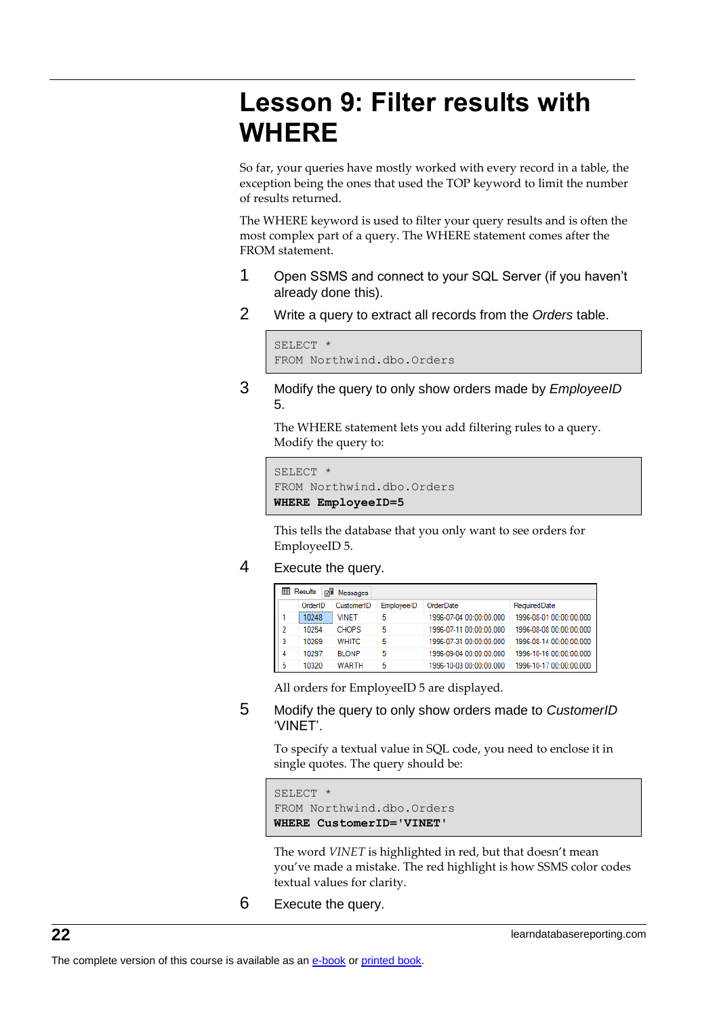## **Lesson 9: Filter results with WHERE**

So far, your queries have mostly worked with every record in a table, the exception being the ones that used the TOP keyword to limit the number of results returned.

The WHERE keyword is used to filter your query results and is often the most complex part of a query. The WHERE statement comes after the FROM statement.

- 1 Open SSMS and connect to your SQL Server (if you haven't already done this).
- 2 Write a query to extract all records from the *Orders* table.

```
SELECT *
FROM Northwind.dbo.Orders
```
3 Modify the query to only show orders made by *EmployeeID* 5.

The WHERE statement lets you add filtering rules to a query. Modify the query to:

```
SELECT *
FROM Northwind.dbo.Orders
WHERE EmployeeID=5
```
This tells the database that you only want to see orders for EmployeeID 5.

4 Execute the query.

| ⊞<br><b>Ell</b> Messages<br>Results |         |              |            |                         |                         |
|-------------------------------------|---------|--------------|------------|-------------------------|-------------------------|
|                                     | OrderID | CustomerID   | EmployeeID | OrderDate               | RequiredDate            |
|                                     | 10248   | VINFT        | 5          | 1996-07-04 00:00:00.000 | 1996-08-01 00:00:00.000 |
| 2                                   | 10254   | <b>CHOPS</b> | 5          | 1996-07-11 00:00:00.000 | 1996-08-08 00:00:00.000 |
| 3                                   | 10269   | <b>WHITC</b> | 5          | 1996-07-31 00:00:00.000 | 1996-08-14 00:00:00.000 |
| 4                                   | 10297   | <b>BLONP</b> | 5          | 1996-09-04 00:00:00.000 | 1996-10-16 00:00:00.000 |
| 5                                   | 10320   | <b>WARTH</b> | 5          | 1996-10-03 00:00:00.000 | 1996-10-17 00:00:00.000 |

All orders for EmployeeID 5 are displayed.

5 Modify the query to only show orders made to *CustomerID* 'VINET'.

To specify a textual value in SQL code, you need to enclose it in single quotes. The query should be:

```
SELECT *
FROM Northwind.dbo.Orders
WHERE CustomerID='VINET'
```
The word *VINET* is highlighted in red, but that doesn't mean you've made a mistake. The red highlight is how SSMS color codes textual values for clarity.

6 Execute the query.